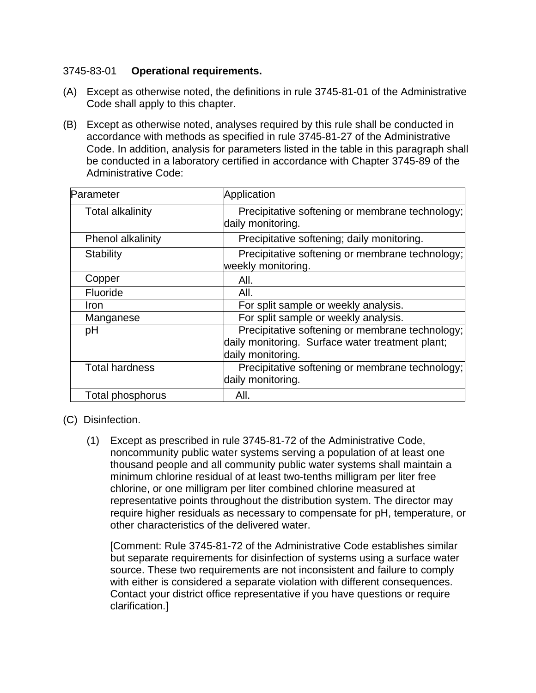## 3745-83-01 **Operational requirements.**

- (A) Except as otherwise noted, the definitions in rule 3745-81-01 of the Administrative Code shall apply to this chapter.
- (B) Except as otherwise noted, analyses required by this rule shall be conducted in accordance with methods as specified in rule 3745-81-27 of the Administrative Code. In addition, analysis for parameters listed in the table in this paragraph shall be conducted in a laboratory certified in accordance with Chapter 3745-89 of the Administrative Code:

| Parameter               | Application                                                                                                              |
|-------------------------|--------------------------------------------------------------------------------------------------------------------------|
| <b>Total alkalinity</b> | Precipitative softening or membrane technology;<br>daily monitoring.                                                     |
| Phenol alkalinity       | Precipitative softening; daily monitoring.                                                                               |
| <b>Stability</b>        | Precipitative softening or membrane technology;<br>weekly monitoring.                                                    |
| Copper                  | All.                                                                                                                     |
| Fluoride                | All.                                                                                                                     |
| <b>Iron</b>             | For split sample or weekly analysis.                                                                                     |
| Manganese               | For split sample or weekly analysis.                                                                                     |
| pH                      | Precipitative softening or membrane technology;<br>daily monitoring. Surface water treatment plant;<br>daily monitoring. |
| <b>Total hardness</b>   | Precipitative softening or membrane technology;<br>daily monitoring.                                                     |
| Total phosphorus        | AII.                                                                                                                     |

(C) Disinfection.

(1) Except as prescribed in rule 3745-81-72 of the Administrative Code, noncommunity public water systems serving a population of at least one thousand people and all community public water systems shall maintain a minimum chlorine residual of at least two-tenths milligram per liter free chlorine, or one milligram per liter combined chlorine measured at representative points throughout the distribution system. The director may require higher residuals as necessary to compensate for pH, temperature, or other characteristics of the delivered water.

 [Comment: Rule 3745-81-72 of the Administrative Code establishes similar but separate requirements for disinfection of systems using a surface water source. These two requirements are not inconsistent and failure to comply with either is considered a separate violation with different consequences. Contact your district office representative if you have questions or require clarification.]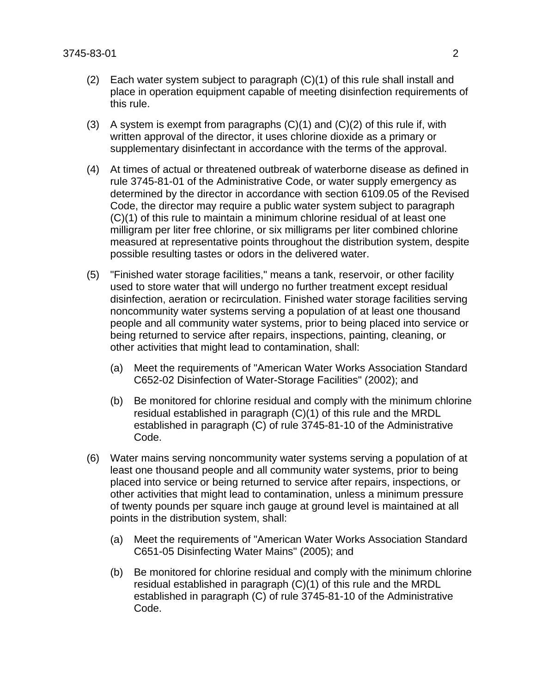- (2) Each water system subject to paragraph (C)(1) of this rule shall install and place in operation equipment capable of meeting disinfection requirements of this rule.
- (3) A system is exempt from paragraphs  $(C)(1)$  and  $(C)(2)$  of this rule if, with written approval of the director, it uses chlorine dioxide as a primary or supplementary disinfectant in accordance with the terms of the approval.
- (4) At times of actual or threatened outbreak of waterborne disease as defined in rule 3745-81-01 of the Administrative Code, or water supply emergency as determined by the director in accordance with section 6109.05 of the Revised Code, the director may require a public water system subject to paragraph (C)(1) of this rule to maintain a minimum chlorine residual of at least one milligram per liter free chlorine, or six milligrams per liter combined chlorine measured at representative points throughout the distribution system, despite possible resulting tastes or odors in the delivered water.
- (5) "Finished water storage facilities," means a tank, reservoir, or other facility used to store water that will undergo no further treatment except residual disinfection, aeration or recirculation. Finished water storage facilities serving noncommunity water systems serving a population of at least one thousand people and all community water systems, prior to being placed into service or being returned to service after repairs, inspections, painting, cleaning, or other activities that might lead to contamination, shall:
	- (a) Meet the requirements of "American Water Works Association Standard C652-02 Disinfection of Water-Storage Facilities" (2002); and
	- (b) Be monitored for chlorine residual and comply with the minimum chlorine residual established in paragraph (C)(1) of this rule and the MRDL established in paragraph (C) of rule 3745-81-10 of the Administrative Code.
- (6) Water mains serving noncommunity water systems serving a population of at least one thousand people and all community water systems, prior to being placed into service or being returned to service after repairs, inspections, or other activities that might lead to contamination, unless a minimum pressure of twenty pounds per square inch gauge at ground level is maintained at all points in the distribution system, shall:
	- (a) Meet the requirements of "American Water Works Association Standard C651-05 Disinfecting Water Mains" (2005); and
	- (b) Be monitored for chlorine residual and comply with the minimum chlorine residual established in paragraph (C)(1) of this rule and the MRDL established in paragraph (C) of rule 3745-81-10 of the Administrative Code.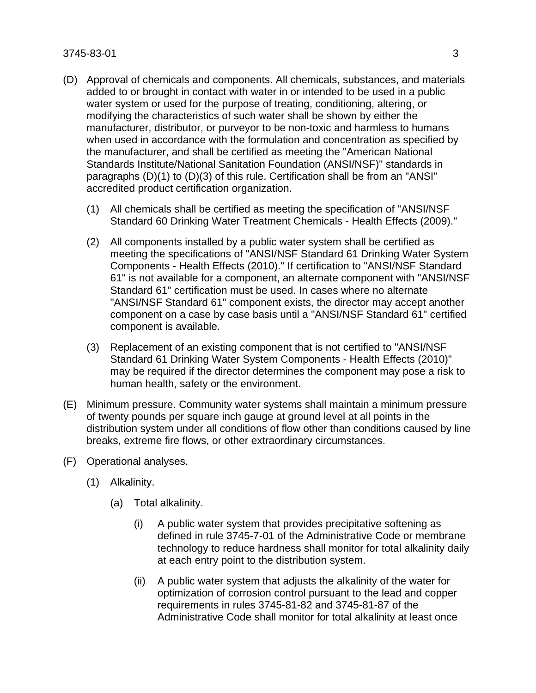## 3745-83-01 3

- (D) Approval of chemicals and components. All chemicals, substances, and materials added to or brought in contact with water in or intended to be used in a public water system or used for the purpose of treating, conditioning, altering, or modifying the characteristics of such water shall be shown by either the manufacturer, distributor, or purveyor to be non-toxic and harmless to humans when used in accordance with the formulation and concentration as specified by the manufacturer, and shall be certified as meeting the "American National Standards Institute/National Sanitation Foundation (ANSI/NSF)" standards in paragraphs (D)(1) to (D)(3) of this rule. Certification shall be from an "ANSI" accredited product certification organization.
	- (1) All chemicals shall be certified as meeting the specification of "ANSI/NSF Standard 60 Drinking Water Treatment Chemicals - Health Effects (2009)."
	- (2) All components installed by a public water system shall be certified as meeting the specifications of "ANSI/NSF Standard 61 Drinking Water System Components - Health Effects (2010)." If certification to "ANSI/NSF Standard 61" is not available for a component, an alternate component with "ANSI/NSF Standard 61" certification must be used. In cases where no alternate "ANSI/NSF Standard 61" component exists, the director may accept another component on a case by case basis until a "ANSI/NSF Standard 61" certified component is available.
	- (3) Replacement of an existing component that is not certified to "ANSI/NSF Standard 61 Drinking Water System Components - Health Effects (2010)" may be required if the director determines the component may pose a risk to human health, safety or the environment.
- (E) Minimum pressure. Community water systems shall maintain a minimum pressure of twenty pounds per square inch gauge at ground level at all points in the distribution system under all conditions of flow other than conditions caused by line breaks, extreme fire flows, or other extraordinary circumstances.
- (F) Operational analyses.
	- (1) Alkalinity.
		- (a) Total alkalinity.
			- (i) A public water system that provides precipitative softening as defined in rule 3745-7-01 of the Administrative Code or membrane technology to reduce hardness shall monitor for total alkalinity daily at each entry point to the distribution system.
			- (ii) A public water system that adjusts the alkalinity of the water for optimization of corrosion control pursuant to the lead and copper requirements in rules 3745-81-82 and 3745-81-87 of the Administrative Code shall monitor for total alkalinity at least once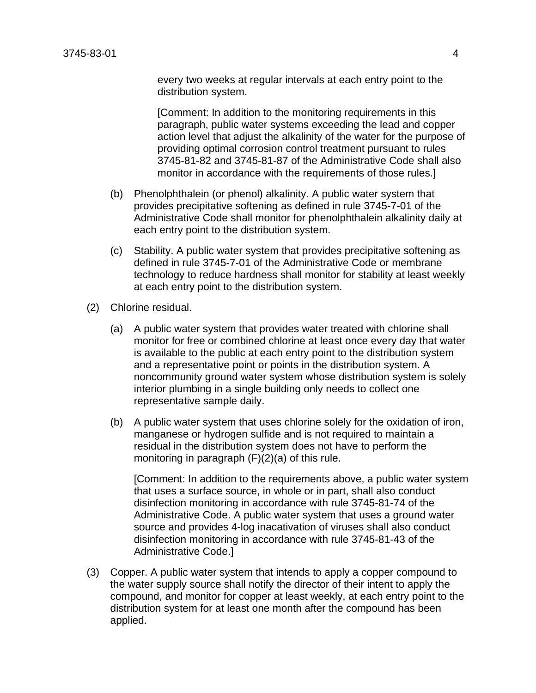every two weeks at regular intervals at each entry point to the distribution system.

 [Comment: In addition to the monitoring requirements in this paragraph, public water systems exceeding the lead and copper action level that adjust the alkalinity of the water for the purpose of providing optimal corrosion control treatment pursuant to rules 3745-81-82 and 3745-81-87 of the Administrative Code shall also monitor in accordance with the requirements of those rules.]

- (b) Phenolphthalein (or phenol) alkalinity. A public water system that provides precipitative softening as defined in rule 3745-7-01 of the Administrative Code shall monitor for phenolphthalein alkalinity daily at each entry point to the distribution system.
- (c) Stability. A public water system that provides precipitative softening as defined in rule 3745-7-01 of the Administrative Code or membrane technology to reduce hardness shall monitor for stability at least weekly at each entry point to the distribution system.
- (2) Chlorine residual.
	- (a) A public water system that provides water treated with chlorine shall monitor for free or combined chlorine at least once every day that water is available to the public at each entry point to the distribution system and a representative point or points in the distribution system. A noncommunity ground water system whose distribution system is solely interior plumbing in a single building only needs to collect one representative sample daily.
	- (b) A public water system that uses chlorine solely for the oxidation of iron, manganese or hydrogen sulfide and is not required to maintain a residual in the distribution system does not have to perform the monitoring in paragraph (F)(2)(a) of this rule.

 [Comment: In addition to the requirements above, a public water system that uses a surface source, in whole or in part, shall also conduct disinfection monitoring in accordance with rule 3745-81-74 of the Administrative Code. A public water system that uses a ground water source and provides 4-log inacativation of viruses shall also conduct disinfection monitoring in accordance with rule 3745-81-43 of the Administrative Code.]

(3) Copper. A public water system that intends to apply a copper compound to the water supply source shall notify the director of their intent to apply the compound, and monitor for copper at least weekly, at each entry point to the distribution system for at least one month after the compound has been applied.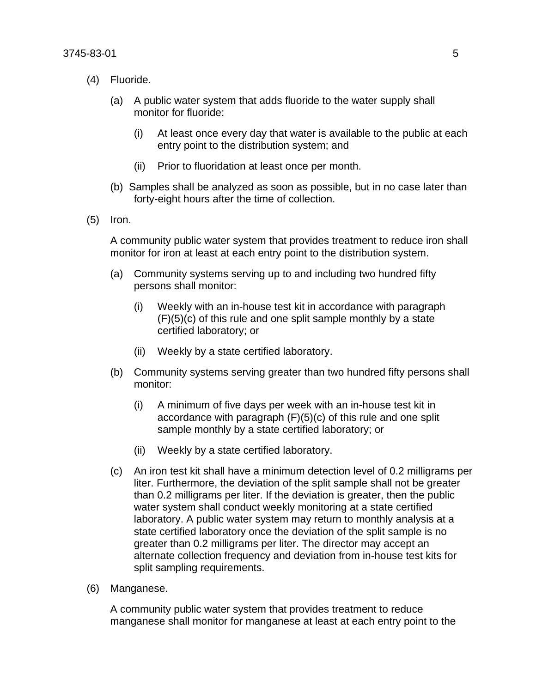- (4) Fluoride.
	- (a) A public water system that adds fluoride to the water supply shall monitor for fluoride:
		- (i) At least once every day that water is available to the public at each entry point to the distribution system; and
		- (ii) Prior to fluoridation at least once per month.
	- (b) Samples shall be analyzed as soon as possible, but in no case later than forty-eight hours after the time of collection.
- (5) Iron.

 A community public water system that provides treatment to reduce iron shall monitor for iron at least at each entry point to the distribution system.

- (a) Community systems serving up to and including two hundred fifty persons shall monitor:
	- (i) Weekly with an in-house test kit in accordance with paragraph  $(F)(5)(c)$  of this rule and one split sample monthly by a state certified laboratory; or
	- (ii) Weekly by a state certified laboratory.
- (b) Community systems serving greater than two hundred fifty persons shall monitor:
	- (i) A minimum of five days per week with an in-house test kit in accordance with paragraph (F)(5)(c) of this rule and one split sample monthly by a state certified laboratory; or
	- (ii) Weekly by a state certified laboratory.
- (c) An iron test kit shall have a minimum detection level of 0.2 milligrams per liter. Furthermore, the deviation of the split sample shall not be greater than 0.2 milligrams per liter. If the deviation is greater, then the public water system shall conduct weekly monitoring at a state certified laboratory. A public water system may return to monthly analysis at a state certified laboratory once the deviation of the split sample is no greater than 0.2 milligrams per liter. The director may accept an alternate collection frequency and deviation from in-house test kits for split sampling requirements.
- (6) Manganese.

 A community public water system that provides treatment to reduce manganese shall monitor for manganese at least at each entry point to the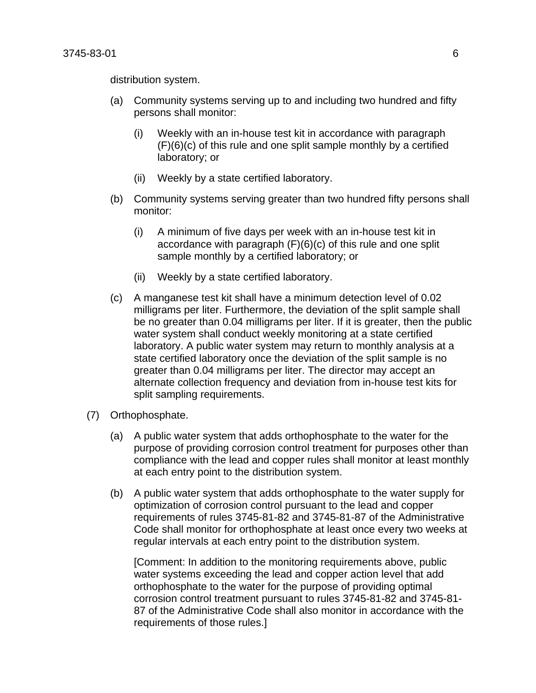distribution system.

- (a) Community systems serving up to and including two hundred and fifty persons shall monitor:
	- (i) Weekly with an in-house test kit in accordance with paragraph (F)(6)(c) of this rule and one split sample monthly by a certified laboratory; or
	- (ii) Weekly by a state certified laboratory.
- (b) Community systems serving greater than two hundred fifty persons shall monitor:
	- (i) A minimum of five days per week with an in-house test kit in accordance with paragraph (F)(6)(c) of this rule and one split sample monthly by a certified laboratory; or
	- (ii) Weekly by a state certified laboratory.
- (c) A manganese test kit shall have a minimum detection level of 0.02 milligrams per liter. Furthermore, the deviation of the split sample shall be no greater than 0.04 milligrams per liter. If it is greater, then the public water system shall conduct weekly monitoring at a state certified laboratory. A public water system may return to monthly analysis at a state certified laboratory once the deviation of the split sample is no greater than 0.04 milligrams per liter. The director may accept an alternate collection frequency and deviation from in-house test kits for split sampling requirements.
- (7) Orthophosphate.
	- (a) A public water system that adds orthophosphate to the water for the purpose of providing corrosion control treatment for purposes other than compliance with the lead and copper rules shall monitor at least monthly at each entry point to the distribution system.
	- (b) A public water system that adds orthophosphate to the water supply for optimization of corrosion control pursuant to the lead and copper requirements of rules 3745-81-82 and 3745-81-87 of the Administrative Code shall monitor for orthophosphate at least once every two weeks at regular intervals at each entry point to the distribution system.

 [Comment: In addition to the monitoring requirements above, public water systems exceeding the lead and copper action level that add orthophosphate to the water for the purpose of providing optimal corrosion control treatment pursuant to rules 3745-81-82 and 3745-81- 87 of the Administrative Code shall also monitor in accordance with the requirements of those rules.]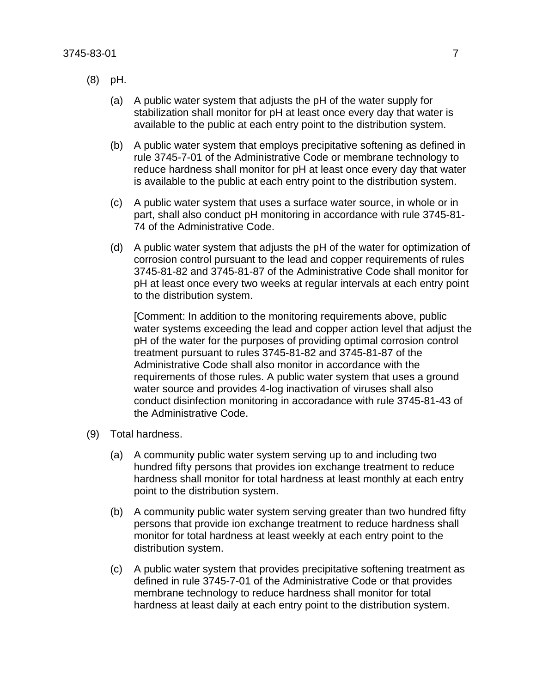- (8) pH.
	- (a) A public water system that adjusts the pH of the water supply for stabilization shall monitor for pH at least once every day that water is available to the public at each entry point to the distribution system.
	- (b) A public water system that employs precipitative softening as defined in rule 3745-7-01 of the Administrative Code or membrane technology to reduce hardness shall monitor for pH at least once every day that water is available to the public at each entry point to the distribution system.
	- (c) A public water system that uses a surface water source, in whole or in part, shall also conduct pH monitoring in accordance with rule 3745-81- 74 of the Administrative Code.
	- (d) A public water system that adjusts the pH of the water for optimization of corrosion control pursuant to the lead and copper requirements of rules 3745-81-82 and 3745-81-87 of the Administrative Code shall monitor for pH at least once every two weeks at regular intervals at each entry point to the distribution system.

 [Comment: In addition to the monitoring requirements above, public water systems exceeding the lead and copper action level that adjust the pH of the water for the purposes of providing optimal corrosion control treatment pursuant to rules 3745-81-82 and 3745-81-87 of the Administrative Code shall also monitor in accordance with the requirements of those rules. A public water system that uses a ground water source and provides 4-log inactivation of viruses shall also conduct disinfection monitoring in accoradance with rule 3745-81-43 of the Administrative Code.

- (9) Total hardness.
	- (a) A community public water system serving up to and including two hundred fifty persons that provides ion exchange treatment to reduce hardness shall monitor for total hardness at least monthly at each entry point to the distribution system.
	- (b) A community public water system serving greater than two hundred fifty persons that provide ion exchange treatment to reduce hardness shall monitor for total hardness at least weekly at each entry point to the distribution system.
	- (c) A public water system that provides precipitative softening treatment as defined in rule 3745-7-01 of the Administrative Code or that provides membrane technology to reduce hardness shall monitor for total hardness at least daily at each entry point to the distribution system.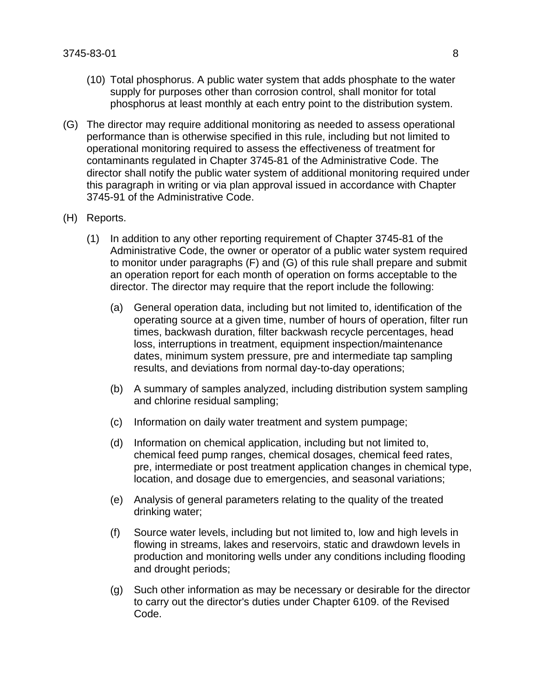- (10) Total phosphorus. A public water system that adds phosphate to the water supply for purposes other than corrosion control, shall monitor for total phosphorus at least monthly at each entry point to the distribution system.
- (G) The director may require additional monitoring as needed to assess operational performance than is otherwise specified in this rule, including but not limited to operational monitoring required to assess the effectiveness of treatment for contaminants regulated in Chapter 3745-81 of the Administrative Code. The director shall notify the public water system of additional monitoring required under this paragraph in writing or via plan approval issued in accordance with Chapter 3745-91 of the Administrative Code.

## (H) Reports.

- (1) In addition to any other reporting requirement of Chapter 3745-81 of the Administrative Code, the owner or operator of a public water system required to monitor under paragraphs (F) and (G) of this rule shall prepare and submit an operation report for each month of operation on forms acceptable to the director. The director may require that the report include the following:
	- (a) General operation data, including but not limited to, identification of the operating source at a given time, number of hours of operation, filter run times, backwash duration, filter backwash recycle percentages, head loss, interruptions in treatment, equipment inspection/maintenance dates, minimum system pressure, pre and intermediate tap sampling results, and deviations from normal day-to-day operations;
	- (b) A summary of samples analyzed, including distribution system sampling and chlorine residual sampling;
	- (c) Information on daily water treatment and system pumpage;
	- (d) Information on chemical application, including but not limited to, chemical feed pump ranges, chemical dosages, chemical feed rates, pre, intermediate or post treatment application changes in chemical type, location, and dosage due to emergencies, and seasonal variations;
	- (e) Analysis of general parameters relating to the quality of the treated drinking water;
	- (f) Source water levels, including but not limited to, low and high levels in flowing in streams, lakes and reservoirs, static and drawdown levels in production and monitoring wells under any conditions including flooding and drought periods;
	- (g) Such other information as may be necessary or desirable for the director to carry out the director's duties under Chapter 6109. of the Revised Code.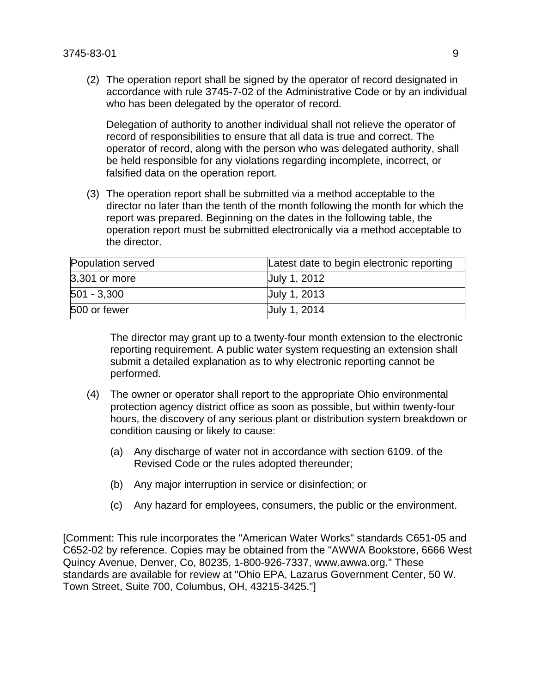(2) The operation report shall be signed by the operator of record designated in accordance with rule 3745-7-02 of the Administrative Code or by an individual who has been delegated by the operator of record.

 Delegation of authority to another individual shall not relieve the operator of record of responsibilities to ensure that all data is true and correct. The operator of record, along with the person who was delegated authority, shall be held responsible for any violations regarding incomplete, incorrect, or falsified data on the operation report.

(3) The operation report shall be submitted via a method acceptable to the director no later than the tenth of the month following the month for which the report was prepared. Beginning on the dates in the following table, the operation report must be submitted electronically via a method acceptable to the director.

| Population served | Latest date to begin electronic reporting |
|-------------------|-------------------------------------------|
| 3,301 or more     | Uuly 1, 2012                              |
| $ 501 - 3,300 $   | Uuly 1, 2013                              |
| 500 or fewer      | <b>July 1, 2014</b>                       |

The director may grant up to a twenty-four month extension to the electronic reporting requirement. A public water system requesting an extension shall submit a detailed explanation as to why electronic reporting cannot be performed.

- (4) The owner or operator shall report to the appropriate Ohio environmental protection agency district office as soon as possible, but within twenty-four hours, the discovery of any serious plant or distribution system breakdown or condition causing or likely to cause:
	- (a) Any discharge of water not in accordance with section 6109. of the Revised Code or the rules adopted thereunder;
	- (b) Any major interruption in service or disinfection; or
	- (c) Any hazard for employees, consumers, the public or the environment.

[Comment: This rule incorporates the "American Water Works" standards C651-05 and C652-02 by reference. Copies may be obtained from the "AWWA Bookstore, 6666 West Quincy Avenue, Denver, Co, 80235, 1-800-926-7337, www.awwa.org." These standards are available for review at "Ohio EPA, Lazarus Government Center, 50 W. Town Street, Suite 700, Columbus, OH, 43215-3425."]